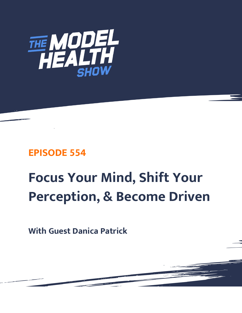

## **EPISODE 554**

# **Focus Your Mind, Shift Your Perception, & Become Driven**

**With Guest Danica Patrick**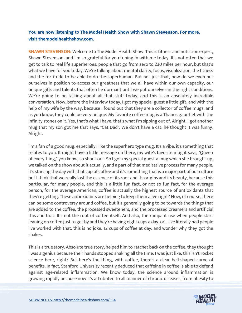### **You are now listening to The Model Health Show with Shawn Stevenson. For more, visit themodelhealthshow.com.**

**SHAWN STEVENSON:** Welcome to The Model Health Show. This is fitness and nutrition expert, Shawn Stevenson, and I'm so grateful for you tuning in with me today. It's not often that we get to talk to real life superheroes, people that go from zero to 230 miles per hour, but that's what we have for you today. We're talking about mental clarity, focus, visualization, the fitness and the fortitude to be able to do the superhuman. But not just that, how do we even put ourselves in position to access our greatness that we all have within our own capacity, our unique gifts and talents that often lie dormant until we put ourselves in the right conditions. We're going to be talking about all that stuff today, and this is an absolutely incredible conversation. Now, before the interview today, I got my special guest a little gift, and with the help of my wife by the way, because I found out that they are a collector of coffee mugs, and as you know, they could be very unique. My favorite coffee mug is a Thanos gauntlet with the infinity stones on it. Yes, that's what I have, that's what I'm sipping out of. Alright. I got another mug that my son got me that says, "Cat Dad". We don't have a cat, he thought it was funny. Alright.

I'm a fan of a good mug, especially I like the superhero type mug. It's a vibe, it's something that relates to you. It might have a little message on there, my wife's favorite mug it says, "Queen of everything," you know, so shout out. So I got my special guest a mug which she brought up, we talked on the show about it actually, and a part of that meditative process for many people, it's starting the day with that cup of coffee and it's something that is a major part of our culture but I think that we really lost the essence of its root and its origins and its beauty, because this particular, for many people, and this is a little fun fact, or not so fun fact, for the average person, for the average American, coffee is actually the highest source of antioxidants that they're getting. These antioxidants are helping to keep them alive right? Now, of course, there can be some controversy around coffee, but it's generally going to be towards the things that are added to the coffee, the processed sweeteners, and the processed creamers and artificial this and that. It's not the root of coffee itself. And also, the rampant use when people start leaning on coffee just to get by and they're having eight cups a day, or... I've literally had people I've worked with that, this is no joke, 12 cups of coffee at day, and wonder why they got the shakes.

This is a true story. Absolute true story, helped him to ratchet back on the coffee, they thought I was a genius because their hands stopped shaking all the time. I was just like, this isn't rocket science here, right? But here's the thing, with coffee, there's a clear bell-shaped curve of benefits. In fact, Stanford University recently deduced that caffeine in coffee is able to defend against age-related inflammation. We know today, the science around inflammation is [growing rapidly because now it](https://themodelhealthshow.com/podcasts/danica-patrick/)'[s attributed to all manner of chronic diseases, from obesity to](https://themodelhealthshow.com/podcasts/danica-patrick/)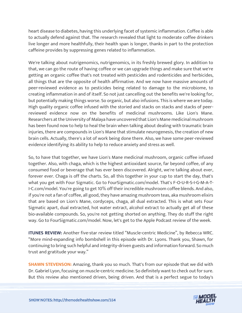heart disease to diabetes, having this underlying facet of systemic inflammation. Coffee is able to actually defend against that. The research revealed that light to moderate coffee drinkers live longer and more healthfully, their health span is longer, thanks in part to the protection caffeine provides by suppressing genes related to inflammation.

We're talking about nutrigenomics, nutrigenomics, in its freshly brewed glory. In addition to that, we can go the route of having coffee or we can upgrade things and make sure that we're getting an organic coffee that's not treated with pesticides and rodenticides and herbicides, all things that are the opposite of health affirmative. And we now have massive amounts of peer-reviewed evidence as to pesticides being related to damage to the microbiome, to creating inflammation in and of itself. So not just cancelling out the benefits we're looking for, but potentially making things worse. So organic, but also infusions. This is where we are today. High quality organic coffee infused with the storied and stacks on stacks and stacks of peerreviewed evidence now on the benefits of medicinal mushrooms. Like Lion's Mane. Researchers at the University of Malaya have uncovered that Lion's Mane medicinal mushroom has been found now to help to heal the brain when talking about dealing with traumatic brain injuries, there are compounds in Lion's Mane that stimulate neurogenesis, the creation of new brain cells. Actually, there's a lot of work being done there. Also, we have some peer-reviewed evidence identifying its ability to help to reduce anxiety and stress as well.

So, to have that together, we have Lion's Mane medicinal mushroom, organic coffee infused together. Also, with chaga, which is the highest antioxidant source, far beyond coffee, of any consumed food or beverage that has ever been discovered. Alright, we're talking about ever, forever ever. Chaga is off the charts. So, all this together in your cup to start the day, that's what you get with Four Sigmatic. Go to FourSigmatic.com/model. That's F-O-U-R-S-I-G-M-A-T-I-C.com/model. You're going to get 10% off their incredible mushroom coffee blends. And also, if you're not a fan of coffee, all good, they have amazing mushroom teas, aka mushroom elixirs that are based on Lion's Mane, cordyceps, chaga, all dual extracted. This is what sets Four Sigmatic apart, dual extracted, hot water extract, alcohol extract to actually get all of these bio-available compounds. So, you're not getting shorted on anything. They do stuff the right way. Go to FourSigmatic.com/model. Now, let's get to the Apple Podcast review of the week.

**ITUNES REVIEW:** Another five-star review titled "Muscle-centric Medicine", by Rebecca WRC. "More mind-expanding info bombshell in this episode with Dr. Lyons. Thank you, Shawn, for continuing to bring such helpful and integrity-driven guests and information forward. So much trust and gratitude your way."

**SHAWN STEVENSON:** Amazing, thank you so much. That's from our episode that we did with Dr. Gabriel Lyon, focusing on muscle-centric medicine. So definitely want to check out for sure. But this review also mentioned driven, being driven. And that is a perfect segue to today's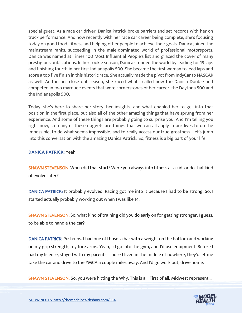special guest. As a race car driver, Danica Patrick broke barriers and set records with her on track performance. And now recently with her race car career being complete, she's focusing today on good food, fitness and helping other people to achieve their goals. Danica joined the mainstream ranks, succeeding in the male-dominated world of professional motorsports. Danica was named at Times 100 Most Influential People's list and graced the cover of many prestigious publications. In her rookie season, Danica stunned the world by leading for 19 laps and finishing fourth in her first Indianapolis 500. She became the first woman to lead laps and score a top five finish in this historic race. She actually made the pivot from IndyCar to NASCAR as well. And in her close out season, she raced what's called now the Danica Double and competed in two marquee events that were cornerstones of her career, the Daytona 500 and the Indianapolis 500.

Today, she's here to share her story, her insights, and what enabled her to get into that position in the first place, but also all of the other amazing things that have sprung from her experience. And some of these things are probably going to surprise you. And I'm telling you right now, so many of these nuggets are things that we can all apply in our lives to do the impossible, to do what seems impossible, and to really access our true greatness. Let's jump into this conversation with the amazing Danica Patrick. So, fitness is a big part of your life.

#### **DANICA PATRICK:** Yeah.

SHAWN STEVENSON: When did that start? Were you always into fitness as a kid, or do that kind of evolve later?

DANICA PATRICK: It probably evolved. Racing got me into it because I had to be strong. So, I started actually probably working out when I was like 14.

SHAWN STEVENSON: So, what kind of training did you do early on for getting stronger, I guess, to be able to handle the car?

DANICA PATRICK: Push-ups. I had one of those, a bar with a weight on the bottom and working on my grip strength, my fore arms. Yeah, I'd go into the gym, and I'd use equipment. Before I had my license, stayed with my parents, 'cause I lived in the middle of nowhere, they'd let me take the car and drive to the YMCA a couple miles away. And I'd go work out, drive home.

[SHAWN STEVENSON: So, you were hitting the Why. This is a... First of all, Midwest represent...](https://themodelhealthshow.com/podcasts/danica-patrick/)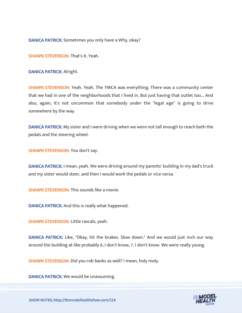DANICA PATRICK: Sometimes you only have a Why, okay?

SHAWN STEVENSON: That's it. Yeah.

DANICA PATRICK: Alright.

SHAWN STEVENSON: Yeah. Yeah. The YMCA was everything. There was a community center that we had in one of the neighborhoods that I lived in. But just having that outlet too... And also, again, it's not uncommon that somebody under the "legal age" is going to drive somewhere by the way.

DANICA PATRICK: My sister and I were driving when we were not tall enough to reach both the pedals and the steering wheel.

SHAWN STEVENSON: You don't say.

DANICA PATRICK: I mean, yeah. We were driving around my parents' building in my dad's truck and my sister would steer, and then I would work the pedals or vice versa.

SHAWN STEVENSON: This sounds like a movie.

DANICA PATRICK: And this is really what happened.

SHAWN STEVENSON: Little rascals, yeah.

DANICA PATRICK: Like, "Okay, hit the brakes. Slow down." And we would just inch our way around the building at like probably 6, I don't know, 7. I don't know. We were really young.

SHAWN STEVENSON: Did you rob banks as well? I mean, holy moly.

DANICA PATRICK: We would be unassuming.

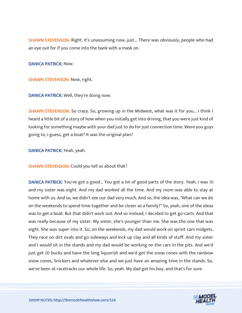SHAWN STEVENSON: Right. It's unassuming now, just... There was obviously, people who had an eye out for if you come into the bank with a mask on.

DANICA PATRICK: Now.

SHAWN STEVENSON: Now, right.

DANICA PATRICK: Well, they're doing now.

SHAWN STEVENSON: So crazy. So, growing up in the Midwest, what was it for you... I think I heard a little bit of a story of how when you initially got into driving, that you were just kind of looking for something maybe with your dad just to do for just connection time. Were you guys going to, I guess, get a boat? It was the original plan?

DANICA PATRICK: Yeah, yeah.

SHAWN STEVENSON: Could you tell us about that?

DANICA PATRICK: You've got a good... You got a lot of good parts of the story. Yeah, I was 10 and my sister was eight. And my dad worked all the time. And my mom was able to stay at home with us. And so, we didn't see our dad very much. And so, the idea was, "What can we do on the weekends to spend time together and be closer as a family?" So, yeah, one of the ideas was to get a boat. But that didn't work out. And so instead, I decided to get go-carts. And that was really because of my sister. My sister, she's younger than me. She was the one that was eight. She was super into it. So, on the weekends, my dad would work on sprint cars midgets. They race on dirt ovals and go sideways and kick up clay and all kinds of stuff. And my sister and I would sit in the stands and my dad would be working on the cars in the pits. And we'd just get 20 bucks and have the long liquorish and we'd get the snow cones with the rainbow snow cones, Snickers and whatever else and we just have an amazing time in the stands. So, we've been at racetracks our whole life. So, yeah. My dad got his boy, and that's for sure.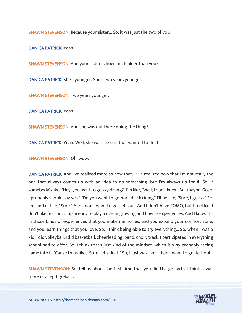SHAWN STEVENSON: Because your sister... So, it was just the two of you.

DANICA PATRICK: Yeah.

SHAWN STEVENSON: And your sister is how much older than you?

DANICA PATRICK: She's younger. She's two years younger.

SHAWN STEVENSON: Two years younger.

DANICA PATRICK: Yeah.

SHAWN STEVENSON: And she was out there doing the thing?

DANICA PATRICK: Yeah. Well, she was the one that wanted to do it.

SHAWN STEVENSON: Oh, wow.

DANICA PATRICK: And I've realized more so now that... I've realized now that I'm not really the one that always comes up with an idea to do something, but I'm always up for it. So, if somebody's like, "Hey, you want to go sky diving?" I'm like, "Well, I don't know. But maybe. Gosh, I probably should say yes." "Do you want to go horseback riding? I'll be like, "Sure, I guess." So, I'm kind of like, "Sure." And I don't want to get left out. And I don't have FOMO, but I feel like I don't like fear or complacency to play a role in growing and having experiences. And I know it's in those kinds of experiences that you make memories, and you expand your comfort zone, and you learn things that you love. So, I think being able to try everything... So, when I was a kid, I did volleyball, I did basketball, cheerleading, band, choir, track. I participated in everything school had to offer. So, I think that's just kind of the mindset, which is why probably racing came into it. 'Cause I was like, "Sure, let's do it." So, I just was like, I didn't want to get left out.

SHAWN STEVENSON: So, tell us about the first time that you did the go-karts, I think it was more of a legit go-kart.

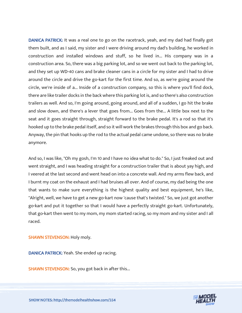DANICA PATRICK: It was a real one to go on the racetrack, yeah, and my dad had finally got them built, and as I said, my sister and I were driving around my dad's building, he worked in construction and installed windows and stuff, so he lived in... His company was in a construction area. So, there was a big parking lot, and so we went out back to the parking lot, and they set up WD-40 cans and brake cleaner cans in a circle for my sister and I had to drive around the circle and drive the go-kart for the first time. And so, as we're going around the circle, we're inside of a... Inside of a construction company, so this is where you'll find dock, there are like trailer docks in the back where this parking lot is, and so there's also construction trailers as well. And so, I'm going around, going around, and all of a sudden, I go hit the brake and slow down, and there's a lever that goes from... Goes from the... A little box next to the seat and it goes straight through, straight forward to the brake pedal. It's a rod so that it's hooked up to the brake pedal itself, and so it will work the brakes through this box and go back. Anyway, the pin that hooks up the rod to the actual pedal came undone, so there was no brake anymore.

And so, I was like, "Oh my gosh, I'm 10 and I have no idea what to do." So, I just freaked out and went straight, and I was heading straight for a construction trailer that is about yay high, and I veered at the last second and went head on into a concrete wall. And my arms flew back, and I burnt my coat on the exhaust and I had bruises all over. And of course, my dad being the one that wants to make sure everything is the highest quality and best equipment, he's like, "Alright, well, we have to get a new go-kart now 'cause that's twisted." So, we just got another go-kart and put it together so that I would have a perfectly straight go-kart. Unfortunately, that go-kart then went to my mom, my mom started racing, so my mom and my sister and I all raced.

#### SHAWN STEVENSON: Holy moly.

DANICA PATRICK: Yeah. She ended up racing.

SHAWN STEVENSON: So, you got back in after this...

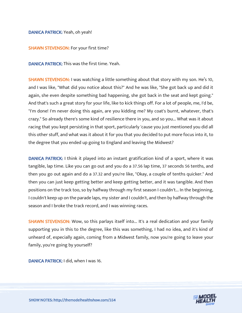#### DANICA PATRICK: Yeah, oh yeah!

#### SHAWN STEVENSON: For your first time?

DANICA PATRICK: This was the first time. Yeah.

SHAWN STEVENSON: I was watching a little something about that story with my son. He's 10, and I was like, "What did you notice about this?" And he was like, "She got back up and did it again, she even despite something bad happening, she got back in the seat and kept going." And that's such a great story for your life, like to kick things off. For a lot of people, me, I'd be, "I'm done! I'm never doing this again, are you kidding me? My coat's burnt, whatever, that's crazy." So already there's some kind of resilience there in you, and so you... What was it about racing that you kept persisting in that sport, particularly 'cause you just mentioned you did all this other stuff, and what was it about it for you that you decided to put more focus into it, to the degree that you ended up going to England and leaving the Midwest?

DANICA PATRICK: I think it played into an instant gratification kind of a sport, where it was tangible, lap time. Like you can go out and you do a 37.56 lap time, 37 seconds 56 tenths, and then you go out again and do a 37.32 and you're like, "Okay, a couple of tenths quicker." And then you can just keep getting better and keep getting better, and it was tangible. And then positions on the track too, so by halfway through my first season I couldn't... In the beginning, I couldn't keep up on the parade laps, my sister and I couldn't, and then by halfway through the season and I broke the track record, and I was winning races.

SHAWN STEVENSON: Wow, so this parlays itself into... It's a real dedication and your family supporting you in this to the degree, like this was something, I had no idea, and it's kind of unheard of, especially again, coming from a Midwest family, now you're going to leave your family, you're going by yourself?

DANICA PATRICK: I did, when I was 16.

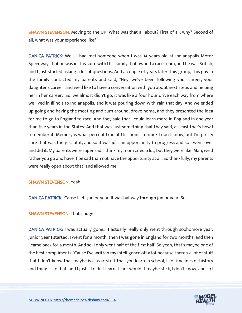SHAWN STEVENSON: Moving to the UK. What was that all about? First of all, why? Second of all, what was your experience like?

DANICA PATRICK: Well, I had met someone when I was 14 years old at Indianapolis Motor Speedway, that he was in this suite with this family that owned a race team, and he was British, and I just started asking a lot of questions. And a couple of years later, this group, this guy in the family contacted my parents and said, "Hey, we've been following your career, your daughter's career, and we'd like to have a conversation with you about next steps and helping her in her career." So, we almost didn't go, it was like a four hour drive each way from where we lived in Illinois to Indianapolis, and it was pouring down with rain that day. And we ended up going and having the meeting and turn around, drove home, and they presented the idea for me to go to England to race. And they said that I could learn more in England in one year than five years in the States. And that was just something that they said, at least that's how I remember it. Memory is what percent true at this point in time? I don't know, but I'm pretty sure that was the gist of it, and so it was just an opportunity to progress and so I went over and did it. My parents were super sad, I think my mom cried a lot, but they were like, Man, we'd rather you go and have it be sad than not have the opportunity at all. So thankfully, my parents were really open about that, and allowed me.

#### SHAWN STEVENSON: Yeah.

DANICA PATRICK: 'Cause I left junior year. It was halfway through junior year. So...

#### SHAWN STEVENSON: That's huge.

DANICA PATRICK: I was actually gone... I actually really only went through sophomore year. Junior year I started, I went for a month, then I was gone in England for two months, and then I came back for a month. And so, I only went half of the first half. So yeah, that's maybe one of the best compliments. 'Cause I've written my intelligence off a lot because there's a lot of stuff that I don't know that maybe is classic stuff that you learn in school, like timelines of history and things like that, and I just... I didn't learn it, nor would it maybe stick, I don't know, and so I

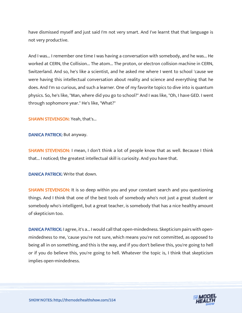have dismissed myself and just said I'm not very smart. And I've learnt that that language is not very productive.

And I was... I remember one time I was having a conversation with somebody, and he was... He worked at CERN, the Collision... The atom... The proton, or electron collision machine in CERN, Switzerland. And so, he's like a scientist, and he asked me where I went to school 'cause we were having this intellectual conversation about reality and science and everything that he does. And I'm so curious, and such a learner. One of my favorite topics to dive into is quantum physics. So, he's like, "Man, where did you go to school?" And I was like, "Oh, I have GED. I went through sophomore year." He's like, "What?"

SHAWN STEVENSON: Yeah, that's...

DANICA PATRICK: But anyway.

SHAWN STEVENSON: I mean, I don't think a lot of people know that as well. Because I think that... I noticed; the greatest intellectual skill is curiosity. And you have that.

DANICA PATRICK: Write that down.

SHAWN STEVENSON: It is so deep within you and your constant search and you questioning things. And I think that one of the best tools of somebody who's not just a great student or somebody who's intelligent, but a great teacher, is somebody that has a nice healthy amount of skepticism too.

DANICA PATRICK: I agree, it's a... I would call that open-mindedness. Skepticism pairs with openmindedness to me, 'cause you're not sure, which means you're not committed, as opposed to being all in on something, and this is the way, and if you don't believe this, you're going to hell or if you do believe this, you're going to hell. Whatever the topic is, I think that skepticism implies open-mindedness.

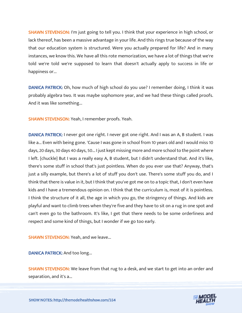SHAWN STEVENSON: I'm just going to tell you. I think that your experience in high school, or lack thereof, has been a massive advantage in your life. And this rings true because of the way that our education system is structured. Were you actually prepared for life? And in many instances, we know this. We have all this rote memorization, we have a lot of things that we're told we're told we're supposed to learn that doesn't actually apply to success in life or happiness or...

DANICA PATRICK: Oh, how much of high school do you use? I remember doing, I think it was probably algebra two. It was maybe sophomore year, and we had these things called proofs. And it was like something...

SHAWN STEVENSON: Yeah, I remember proofs. Yeah.

DANICA PATRICK: I never got one right. I never got one right. And I was an A, B student. I was like a... Even with being gone. 'Cause I was gone in school from 10 years old and I would miss 10 days, 20 days, 30 days 40 days, 50... I just kept missing more and more school to the point where I left. [chuckle] But I was a really easy A, B student, but I didn't understand that. And it's like, there's some stuff in school that's just pointless. When do you ever use that? Anyway, that's just a silly example, but there's a lot of stuff you don't use. There's some stuff you do, and I think that there is value in it, but I think that you've got me on to a topic that, I don't even have kids and I have a tremendous opinion on. I think that the curriculum is, most of it is pointless. I think the structure of it all, the age in which you go, the stringency of things. And kids are playful and want to climb trees when they're five and they have to sit on a rug in one spot and can't even go to the bathroom. It's like, I get that there needs to be some orderliness and respect and some kind of things, but I wonder if we go too early.

**SHAWN STEVENSON: Yeah, and we leave...** 

DANICA PATRICK: And too long...

SHAWN STEVENSON: We leave from that rug to a desk, and we start to get into an order and separation, and it's a...

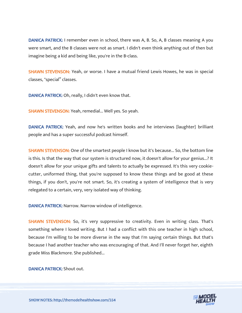DANICA PATRICK: I remember even in school, there was A, B. So, A, B classes meaning A you were smart, and the B classes were not as smart. I didn't even think anything out of then but imagine being a kid and being like, you're in the B-class.

SHAWN STEVENSON: Yeah, or worse. I have a mutual friend Lewis Howes, he was in special classes, "special" classes.

DANICA PATRICK: Oh, really, I didn't even know that.

SHAWN STEVENSON: Yeah, remedial... Well yes. So yeah.

DANICA PATRICK: Yeah, and now he's written books and he interviews [laughter] brilliant people and has a super successful podcast himself.

SHAWN STEVENSON: One of the smartest people I know but it's because... So, the bottom line is this. Is that the way that our system is structured now, it doesn't allow for your genius...? It doesn't allow for your unique gifts and talents to actually be expressed. It's this very cookiecutter, uniformed thing, that you're supposed to know these things and be good at these things, if you don't, you're not smart. So, it's creating a system of intelligence that is very relegated to a certain, very, very isolated way of thinking.

DANICA PATRICK: Narrow. Narrow window of intelligence.

SHAWN STEVENSON: So, it's very suppressive to creativity. Even in writing class. That's something where I loved writing. But I had a conflict with this one teacher in high school, because I'm willing to be more diverse in the way that I'm saying certain things. But that's because I had another teacher who was encouraging of that. And I'll never forget her, eighth grade Miss Blackmore. She published...

DANICA PATRICK: Shout out.

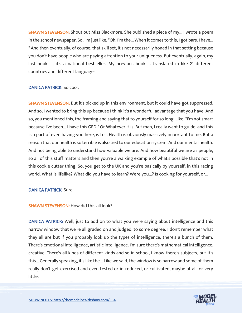**SHAWN STEVENSON:** Shout out Miss Blackmore. She published a piece of my... I wrote a poem in the school newspaper. So, I'm just like, "Oh, I'm the... When it comes to this, I got bars. I have... " And then eventually, of course, that skill set, it's not necessarily honed in that setting because you don't have people who are paying attention to your uniqueness. But eventually, again, my last book is, it's a national bestseller. My previous book is translated in like 21 different countries and different languages.

#### DANICA PATRICK: So cool.

**SHAWN STEVENSON:** But it's picked up in this environment, but it could have got suppressed. And so, I wanted to bring this up because I think it's a wonderful advantage that you have. And so, you mentioned this, the framing and saying that to yourself for so long. Like, "I'm not smart because I've been... I have this GED." Or Whatever it is. But man, I really want to guide, and this is a part of even having you here, is to... Health is obviously massively important to me. But a reason that our health is so terrible is also tied to our education system. And our mental health. And not being able to understand how valuable we are. And how beautiful we are as people, so all of this stuff matters and then you're a walking example of what's possible that's not in this cookie cutter thing. So, you get to the UK and you're basically by yourself, in this racing world. What is lifelike? What did you have to learn? Were you...? Is cooking for yourself, or...

#### DANICA PATRICK: Sure.

#### SHAWN STEVENSON: How did this all look?

DANICA PATRICK: Well, just to add on to what you were saying about intelligence and this narrow window that we're all graded on and judged, to some degree. I don't remember what they all are but if you probably look up the types of intelligence, there's a bunch of them. There's emotional intelligence, artistic intelligence. I'm sure there's mathematical intelligence, creative. There's all kinds of different kinds and so in school, I know there's subjects, but it's this... Generally speaking, it's like the... Like we said, the window is so narrow and some of them really don't get exercised and even tested or introduced, or cultivated, maybe at all, or very little.

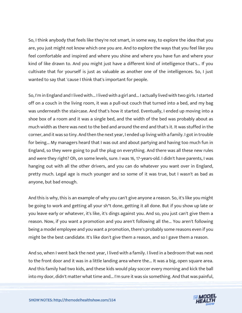So, I think anybody that feels like they're not smart, in some way, to explore the idea that you are, you just might not know which one you are. And to explore the ways that you feel like you feel comfortable and inspired and where you shine and where you have fun and where your kind of like drawn to. And you might just have a different kind of intelligence that's... If you cultivate that for yourself is just as valuable as another one of the intelligences. So, I just wanted to say that 'cause I think that's important for people.

So, I'm in England and I lived with... I lived with a girl and... I actually lived with two girls. I started off on a couch in the living room, it was a pull-out couch that turned into a bed, and my bag was underneath the staircase. And that's how it started. Eventually, I ended up moving into a shoe box of a room and it was a single bed, and the width of the bed was probably about as much width as there was next to the bed and around the end and that's it. It was stuffed in the corner, and it was so tiny. And then the next year, I ended up living with a family. I got in trouble for being... My managers heard that I was out and about partying and having too much fun in England, so they were going to pull the plug on everything. And there was all these new rules and were they right? Oh, on some levels, sure. I was 16, 17-years-old. I didn't have parents, I was hanging out with all the other drivers, and you can do whatever you want over in England, pretty much. Legal age is much younger and so some of it was true, but I wasn't as bad as anyone, but bad enough.

And this is why, this is an example of why you can't give anyone a reason. So, it's like you might be going to work and getting all your sh\*t done, getting it all done. But if you show up late or you leave early or whatever, it's like, it's dings against you. And so, you just can't give them a reason. Now, if you want a promotion and you aren't following all the... You aren't following being a model employee and you want a promotion, there's probably some reasons even if you might be the best candidate. It's like don't give them a reason, and so I gave them a reason.

And so, when I went back the next year, I lived with a family. I lived in a bedroom that was next to the front door and it was in a little landing area where the... It was a big, open square area. And this family had two kids, and these kids would play soccer every morning and kick the ball into my door, didn't matter what time and... I'm sure it was six something. And that was painful,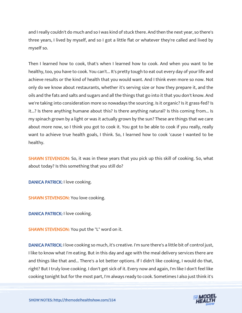and I really couldn't do much and so I was kind of stuck there. And then the next year, so there's three years, I lived by myself, and so I got a little flat or whatever they're called and lived by myself so.

Then I learned how to cook, that's when I learned how to cook. And when you want to be healthy, too, you have to cook. You can't... It's pretty tough to eat out every day of your life and achieve results or the kind of health that you would want. And I think even more so now. Not only do we know about restaurants, whether it's serving size or how they prepare it, and the oils and the fats and salts and sugars and all the things that go into it that you don't know. And we're taking into consideration more so nowadays the sourcing. Is it organic? Is it grass-fed? Is it...? Is there anything humane about this? Is there anything natural? Is this coming from... Is my spinach grown by a light or was it actually grown by the sun? These are things that we care about more now, so I think you got to cook it. You got to be able to cook if you really, really want to achieve true health goals, I think. So, I learned how to cook 'cause I wanted to be healthy.

SHAWN STEVENSON: So, it was in these years that you pick up this skill of cooking. So, what about today? Is this something that you still do?

DANICA PATRICK: I love cooking.

SHAWN STEVENSON: You love cooking.

DANICA PATRICK: I love cooking.

SHAWN STEVENSON: You put the "L" word on it.

DANICA PATRICK: I love cooking so much, it's creative. I'm sure there's a little bit of control just, I like to know what I'm eating. But in this day and age with the meal delivery services there are and things like that and... There's a lot better options. If I didn't like cooking, I would do that, right? But I truly love cooking. I don't get sick of it. Every now and again, I'm like I don't feel like cooking tonight but for the most part, I'm always ready to cook. Sometimes I also just think it's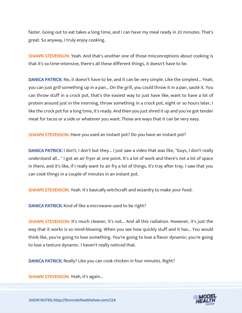faster. Going out to eat takes a long time, and I can have my meal ready in 20 minutes. That's great. So anyway, I truly enjoy cooking.

**SHAWN STEVENSON:** Yeah. And that's another one of those misconceptions about cooking is that it's so time-intensive, there's all these different things, it doesn't have to be.

DANICA PATRICK: No, it doesn't have to be, and it can be very simple. Like the simplest... Yeah, you can just grill something up in a pan... On the grill, you could throw it in a pan, sauté it. You can throw stuff in a crock pot, that's the easiest way to just have like, want to have a lot of protein around just in the morning, throw something in a crock pot, eight or so hours later, I like the crock pot for a long time, it's ready. And then you just shred it up and you've got tender meat for tacos or a side or whatever you want. Those are ways that it can be very easy.

SHAWN STEVENSON: Have you used an instant pot? Do you have an instant pot?

DANICA PATRICK: I don't, I don't but they... I just saw a video that was like, "Guys, I don't really understand all... " I got an air fryer at one point. It's a lot of work and there's not a lot of space in there, and it's like, if I really want to air fry a lot of things, it's tray after tray. I saw that you can cook things in a couple of minutes in an instant pot.

SHAWN STEVENSON: Yeah. It's basically witchcraft and wizardry to make your food.

DANICA PATRICK: Kind of like a microwave used to be right?

SHAWN STEVENSON: It's much cleaner, it's not... And all this radiation. However, it's just the way that it works is so mind-blowing. When you see how quickly stuff and it has... You would think like, you're going to lose something. You're going to lose a flavor dynamic; you're going to lose a texture dynamic. I haven't really noticed that.

DANICA PATRICK: Really? Like you can cook chicken in four minutes. Right?

SHAWN STEVENSON: Yeah, it's again...

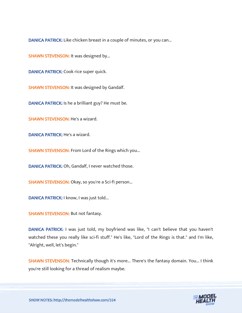DANICA PATRICK: Like chicken breast in a couple of minutes, or you can...

SHAWN STEVENSON: It was designed by...

DANICA PATRICK: Cook rice super quick.

SHAWN STEVENSON: It was designed by Gandalf.

DANICA PATRICK: Is he a brilliant guy? He must be.

SHAWN STEVENSON: He's a wizard.

DANICA PATRICK: He's a wizard.

SHAWN STEVENSON: From Lord of the Rings which you...

DANICA PATRICK: Oh, Gandalf, I never watched those.

SHAWN STEVENSON: Okay, so you're a Sci-fi person...

DANICA PATRICK: I know, I was just told...

SHAWN STEVENSON: But not fantasy.

DANICA PATRICK: I was just told, my boyfriend was like, "I can't believe that you haven't watched these you really like sci-fi stuff." He's like, "Lord of the Rings is that." and I'm like, "Alright, well, let's begin."

SHAWN STEVENSON: Technically though it's more... There's the fantasy domain. You... I think you're still looking for a thread of realism maybe.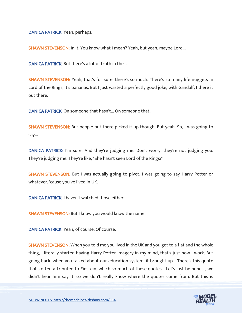DANICA PATRICK: Yeah, perhaps.

SHAWN STEVENSON: In it. You know what I mean? Yeah, but yeah, maybe Lord...

DANICA PATRICK: But there's a lot of truth in the...

SHAWN STEVENSON: Yeah, that's for sure, there's so much. There's so many life nuggets in Lord of the Rings, it's bananas. But I just wasted a perfectly good joke, with Gandalf, I there it out there.

DANICA PATRICK: On someone that hasn't... On someone that...

SHAWN STEVENSON: But people out there picked it up though. But yeah. So, I was going to say...

DANICA PATRICK: I'm sure. And they're judging me. Don't worry, they're not judging you. They're judging me. They're like, "She hasn't seen Lord of the Rings?"

SHAWN STEVENSON: But I was actually going to pivot, I was going to say Harry Potter or whatever, 'cause you've lived in UK.

DANICA PATRICK: I haven't watched those either.

SHAWN STEVENSON: But I know you would know the name.

DANICA PATRICK: Yeah, of course. Of course.

**SHAWN STEVENSON:** When you told me you lived in the UK and you got to a flat and the whole thing, I literally started having Harry Potter imagery in my mind, that's just how I work. But going back, when you talked about our education system, it brought up... There's this quote that's often attributed to Einstein, which so much of these quotes... Let's just be honest, we didn't hear him say it, so we don't really know where the quotes come from. But this is

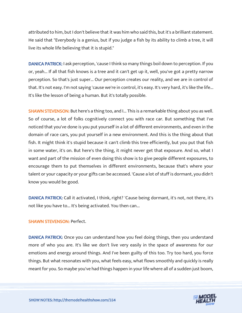attributed to him, but I don't believe that it was him who said this, but it's a brilliant statement. He said that "Everybody is a genius, but if you judge a fish by its ability to climb a tree, it will live its whole life believing that it is stupid."

DANICA PATRICK: I ask perception, 'cause I think so many things boil down to perception. If you or, yeah... If all that fish knows is a tree and it can't get up it, well, you've got a pretty narrow perception. So that's just super... Our perception creates our reality, and we are in control of that. It's not easy. I'm not saying 'cause we're in control, it's easy. It's very hard, it's like the life... It's like the lesson of being a human. But it's totally possible.

**SHAWN STEVENSON:** But here's a thing too, and I... This is a remarkable thing about you as well. So of course, a lot of folks cognitively connect you with race car. But something that I've noticed that you've done is you put yourself in a lot of different environments, and even in the domain of race cars, you put yourself in a new environment. And this is the thing about that fish. It might think it's stupid because it can't climb this tree efficiently, but you put that fish in some water, it's on. But here's the thing, it might never get that exposure. And so, what I want and part of the mission of even doing this show is to give people different exposures, to encourage them to put themselves in different environments, because that's where your talent or your capacity or your gifts can be accessed. 'Cause a lot of stuff is dormant, you didn't know you would be good.

DANICA PATRICK: Call it activated, I think, right? 'Cause being dormant, it's not, not there, it's not like you have to... It's being activated. You then can...

#### SHAWN STEVENSON: Perfect.

DANICA PATRICK: Once you can understand how you feel doing things, then you understand more of who you are. It's like we don't live very easily in the space of awareness for our emotions and energy around things. And I've been guilty of this too. Try too hard, you force things. But what resonates with you, what feels easy, what flows smoothly and quickly is really meant for you. So maybe you've had things happen in your life where all of a sudden just boom,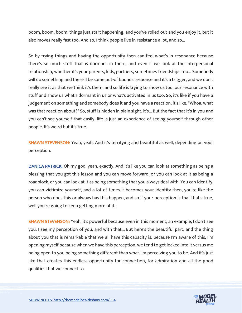boom, boom, boom, things just start happening, and you've rolled out and you enjoy it, but it also moves really fast too. And so, I think people live in resistance a lot, and so...

So by trying things and having the opportunity then can feel what's in resonance because there's so much stuff that is dormant in there, and even if we look at the interpersonal relationship, whether it's your parents, kids, partners, sometimes friendships too... Somebody will do something and there'll be some out-of bounds response and it's a trigger, and we don't really see it as that we think it's them, and so life is trying to show us too, our resonance with stuff and show us what's dormant in us or what's activated in us too. So, it's like if you have a judgement on something and somebody does it and you have a reaction, it's like, "Whoa, what was that reaction about?" So, stuff is hidden in plain sight, it's... But the fact that it's in you and you can't see yourself that easily, life is just an experience of seeing yourself through other people. It's weird but it's true.

SHAWN STEVENSON: Yeah, yeah. And it's terrifying and beautiful as well, depending on your perception.

DANICA PATRICK: Oh my god, yeah, exactly. And it's like you can look at something as being a blessing that you got this lesson and you can move forward, or you can look at it as being a roadblock, or you can look at it as being something that you always deal with. You can identify, you can victimize yourself, and a lot of times it becomes your identity then, you're like the person who does this or always has this happen, and so if your perception is that that's true, well you're going to keep getting more of it.

SHAWN STEVENSON: Yeah, it's powerful because even in this moment, an example, I don't see you, I see my perception of you, and with that... But here's the beautiful part, and the thing about you that is remarkable that we all have this capacity is, because I'm aware of this, I'm opening myself because when we have this perception, we tend to get locked into it versus me being open to you being something different than what I'm perceiving you to be. And it's just like that creates this endless opportunity for connection, for admiration and all the good qualities that we connect to.

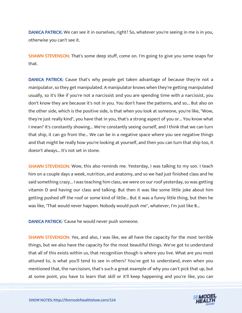DANICA PATRICK: We can see it in ourselves, right? So, whatever you're seeing in me is in you, otherwise you can't see it.

SHAWN STEVENSON: That's some deep stuff, come on. I'm going to give you some snaps for that.

DANICA PATRICK: Cause that's why people get taken advantage of because they're not a manipulator, so they get manipulated. A manipulator knows when they're getting manipulated usually, so it's like if you're not a narcissist and you are spending time with a narcissist, you don't know they are because it's not in you. You don't have the patterns, and so... But also on the other side, which is the positive side, is that when you look at someone, you're like, "Wow, they're just really kind", you have that in you, that's a strong aspect of you or... You know what I mean? It's constantly showing... We're constantly seeing ourself, and I think that we can turn that ship, it can go from the... We can be in a negative space where you see negative things and that might be really how you're looking at yourself, and then you can turn that ship too, it doesn't always... It's not set in stone.

SHAWN STEVENSON: Wow, this also reminds me. Yesterday, I was talking to my son. I teach him on a couple days a week, nutrition, and anatomy, and so we had just finished class and he said something crazy... I was teaching him class, we were on our roof yesterday, so was getting vitamin D and having our class and talking. But then it was like some little joke about him getting pushed off the roof or some kind of little... But it was a funny little thing, but then he was like, "That would never happen. Nobody would push me", whatever, I'm just like B...

DANICA PATRICK: 'Cause he would never push someone.

SHAWN STEVENSON: Yes, and also, I was like, we all have the capacity for the most terrible things, but we also have the capacity for the most beautiful things. We've got to understand that all of this exists within us, that recognition though is where you live. What are you most attuned to, is what you'll tend to see in others? You've got to understand, even when you mentioned that, the narcissism, that's such a great example of why you can't pick that up, but at some point, you have to learn that skill or it'll keep happening and you're like, you can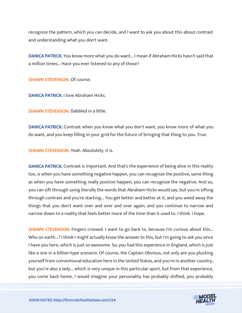recognize the pattern, which you can decide, and I want to ask you about this about contrast and understanding what you don't want.

DANICA PATRICK: You know more what you do want... I mean if Abraham Hicks hasn't said that a million times... Have you ever listened to any of those?

SHAWN STEVENSON: Of course.

DANICA PATRICK: I love Abraham Hicks.

SHAWN STEVENSON: Dabbled in a little.

DANICA PATRICK: Contrast when you know what you don't want, you know more of what you do want, and you keep filling in your grid for the future of bringing that thing to you. True.

SHAWN STEVENSON: Yeah. Absolutely, it is.

DANICA PATRICK: Contrast is important. And that's the experience of being alive in this reality too, is when you have something negative happen, you can recognize the positive, same thing as when you have something really positive happen, you can recognize the negative. And so, you can sift through using literally the words that Abraham Hicks would say, but you're sifting through contrast and you're starting... You get better and better at it, and you weed away the things that you don't want over and over and over again, and you continue to narrow and narrow down to a reality that feels better more of the time than it used to. I think. I hope.

SHAWN STEVENSON: Fingers crossed. I want to go back to, because I'm curious about this... Who on earth...? I think I might actually know the answer to this, but I'm going to ask you since I have you here, which is just so awesome. So, you had this experience in England, which is just like a one in a billion-type scenario. Of course, the Captain Obvious, not only are you plucking yourself from conventional education here in the United States, and you're in another country, but you're also a lady... which is very unique in this particular sport, but from that experience, you come back home, I would imagine your personality has probably shifted, you probably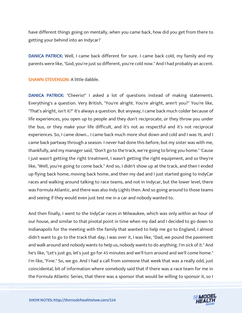have different things going on mentally, when you came back, how did you get from there to getting your behind into an Indycar?

DANICA PATRICK: Well, I came back different for sure. I came back cold, my family and my parents were like, "God, you're just so different, you're cold now." And I had probably an accent.

SHAWN STEVENSON: A little dabble.

DANICA PATRICK: "Cheerio!" I asked a lot of questions instead of making statements. Everything's a question. Very British, "You're alright. You're alright, aren't you?" You're like, "That's alright, isn't it?" It's always a question. But anyway, I came back much colder because of life experiences, you open up to people and they don't reciprocate, or they throw you under the bus, or they make your life difficult, and it's not as respectful and it's not reciprocal experiences. So, I came down... I came back much more shut down and cold and I was 19, and I came back partway through a season. I never had done this before, but my sister was with me, thankfully, and my manager said, "Don't go to the track, we're going to bring you home." 'Cause I just wasn't getting the right treatment, I wasn't getting the right equipment, and so they're like, "Well, you're going to come back." And so, I didn't show up at the track, and then I ended up flying back home, moving back home, and then my dad and I just started going to IndyCar races and walking around talking to race teams, and not in Indycar, but the lower level, there was Formula Atlantic, and there was also Indy Lights then. And so going around to those teams and seeing if they would even just test me in a car and nobody wanted to.

And then finally, I went to the IndyCar races in Milwaukee, which was only within an hour of our house, and similar to that pivotal point in time when my dad and I decided to go down to Indianapolis for the meeting with the family that wanted to help me go to England, I almost didn't want to go to the track that day, I was over it, I was like, "Dad, we pound the pavement and walk around and nobody wants to help us, nobody wants to do anything. I'm sick of it." And he's like, "Let's just go, let's just go for 45 minutes and we'll turn around and we'll come home." I'm like, "Fine." So, we go. And I had a call from someone that week that was a really odd, just coincidental, bit of information where somebody said that if there was a race team for me in the Formula Atlantic Series, that there was a sponsor that would be willing to sponsor it, so I

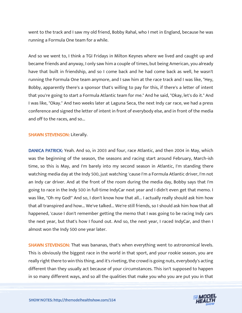went to the track and I saw my old friend, Bobby Rahal, who I met in England, because he was running a Formula One team for a while.

And so we went to, I think a TGI Fridays in Milton Keynes where we lived and caught up and became friends and anyway, I only saw him a couple of times, but being American, you already have that built in friendship, and so I come back and he had come back as well, he wasn't running the Formula One team anymore, and I saw him at the race track and I was like, "Hey, Bobby, apparently there's a sponsor that's willing to pay for this, if there's a letter of intent that you're going to start a Formula Atlantic team for me." And he said, "Okay, let's do it." And I was like, "Okay." And two weeks later at Laguna Seca, the next Indy car race, we had a press conference and signed the letter of intent in front of everybody else, and in front of the media and off to the races, and so...

SHAWN STEVENSON: Literally.

DANICA PATRICK: Yeah. And so, in 2003 and four, race Atlantic, and then 2004 in May, which was the beginning of the season, the seasons and racing start around February, March-ish time, so this is May, and I'm barely into my second season in Atlantic, I'm standing there watching media day at the Indy 500, just watching 'cause I'm a Formula Atlantic driver, I'm not an Indy car driver. And at the front of the room during the media day, Bobby says that I'm going to race in the Indy 500 in full-time IndyCar next year and I didn't even get that memo. I was like, "Oh my God!" And so, I don't know how that all... I actually really should ask him how that all transpired and how... We've talked... We're still friends, so I should ask him how that all happened, 'cause I don't remember getting the memo that I was going to be racing Indy cars the next year, but that's how I found out. And so, the next year, I raced IndyCar, and then I almost won the Indy 500 one year later.

**SHAWN STEVENSON:** That was bananas, that's when everything went to astronomical levels. This is obviously the biggest race in the world in that sport, and your rookie season, you are really right there to win this thing, and it's riveting, the crowd is going nuts, everybody's acting different than they usually act because of your circumstances. This isn't supposed to happen in so many different ways, and so all the qualities that make you who you are put you in that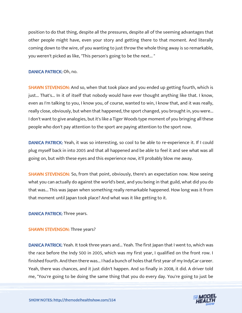position to do that thing, despite all the pressures, despite all of the seeming advantages that other people might have, even your story and getting there to that moment. And literally coming down to the wire, of you wanting to just throw the whole thing away is so remarkable, you weren't picked as like, "This person's going to be the next... "

#### DANICA PATRICK: Oh, no.

**SHAWN STEVENSON:** And so, when that took place and you ended up getting fourth, which is just... That's... In it of itself that nobody would have ever thought anything like that. I know, even as I'm talking to you, I know you, of course, wanted to win, I know that, and it was really, really close, obviously, but when that happened, the sport changed, you brought in, you were... I don't want to give analogies, but it's like a Tiger Woods type moment of you bringing all these people who don't pay attention to the sport are paying attention to the sport now.

DANICA PATRICK: Yeah, it was so interesting, so cool to be able to re-experience it. If I could plug myself back in into 2005 and that all happened and be able to feel it and see what was all going on, but with these eyes and this experience now, it'll probably blow me away.

SHAWN STEVENSON: So, from that point, obviously, there's an expectation now. Now seeing what you can actually do against the world's best, and you being in that guild, what did you do that was... This was Japan when something really remarkable happened. How long was it from that moment until Japan took place? And what was it like getting to it.

#### DANICA PATRICK: Three years.

#### SHAWN STEVENSON: Three years?

DANICA PATRICK: Yeah. It took three years and... Yeah. The first Japan that I went to, which was the race before the Indy 500 in 2005, which was my first year, I qualified on the front row. I finished fourth. And then there was... I had a bunch of holes that first year of my IndyCar career. Yeah, there was chances, and it just didn't happen. And so finally in 2008, it did. A driver told me, "You're going to be doing the same thing that you do every day. You're going to just be

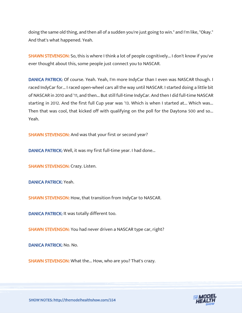doing the same old thing, and then all of a sudden you're just going to win." and I'm like, "Okay." And that's what happened. Yeah.

**SHAWN STEVENSON:** So, this is where I think a lot of people cognitively... I don't know if you've ever thought about this, some people just connect you to NASCAR.

DANICA PATRICK: Of course. Yeah. Yeah, I'm more IndyCar than I even was NASCAR though. I raced IndyCar for... I raced open-wheel cars all the way until NASCAR. I started doing a little bit of NASCAR in 2010 and '11, and then... But still full-time IndyCar. And then I did full-time NASCAR starting in 2012. And the first full Cup year was '13. Which is when I started at... Which was... Then that was cool, that kicked off with qualifying on the poll for the Daytona 500 and so... Yeah.

SHAWN STEVENSON: And was that your first or second year?

DANICA PATRICK: Well, it was my first full-time year. I had done...

SHAWN STEVENSON: Crazy. Listen.

DANICA PATRICK: Yeah.

SHAWN STEVENSON: How, that transition from IndyCar to NASCAR.

DANICA PATRICK: It was totally different too.

SHAWN STEVENSON: You had never driven a NASCAR type car, right?

DANICA PATRICK: No. No.

SHAWN STEVENSON: What the... How, who are you? That's crazy.

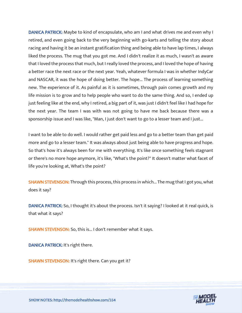DANICA PATRICK: Maybe to kind of encapsulate, who am I and what drives me and even why I retired, and even going back to the very beginning with go-karts and telling the story about racing and having it be an instant gratification thing and being able to have lap times, I always liked the process. The mug that you got me. And I didn't realize it as much, I wasn't as aware that I loved the process that much, but I really loved the process, and I loved the hope of having a better race the next race or the next year. Yeah, whatever formula I was in whether IndyCar and NASCAR, it was the hope of doing better. The hope... The process of learning something new. The experience of it. As painful as it is sometimes, through pain comes growth and my life mission is to grow and to help people who want to do the same thing. And so, I ended up just feeling like at the end, why I retired, a big part of it, was just I didn't feel like I had hope for the next year. The team I was with was not going to have me back because there was a sponsorship issue and I was like, "Man, I just don't want to go to a lesser team and I just...

I want to be able to do well. I would rather get paid less and go to a better team than get paid more and go to a lesser team." It was always about just being able to have progress and hope. So that's how it's always been for me with everything. It's like once something feels stagnant or there's no more hope anymore, it's like, "What's the point?" It doesn't matter what facet of life you're looking at, What's the point?

**SHAWN STEVENSON:** Through this process, this process in which... The mug that I got you, what does it say?

DANICA PATRICK: So, I thought it's about the process. Isn't it saying? I looked at it real quick, is that what it says?

SHAWN STEVENSON: So, this is... I don't remember what it says.

DANICA PATRICK: It's right there.

SHAWN STEVENSON: It's right there. Can you get it?

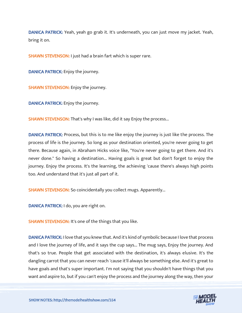DANICA PATRICK: Yeah, yeah go grab it. It's underneath, you can just move my jacket. Yeah, bring it on.

SHAWN STEVENSON: I just had a brain fart which is super rare.

DANICA PATRICK: Enjoy the journey.

SHAWN STEVENSON: Enjoy the journey.

DANICA PATRICK: Enjoy the journey.

**SHAWN STEVENSON:** That's why I was like, did it say Enjoy the process...

DANICA PATRICK: Process, but this is to me like enjoy the journey is just like the process. The process of life is the journey. So long as your destination oriented, you're never going to get there. Because again, in Abraham Hicks voice like, "You're never going to get there. And it's never done." So having a destination... Having goals is great but don't forget to enjoy the journey. Enjoy the process. It's the learning, the achieving 'cause there's always high points too. And understand that it's just all part of it.

SHAWN STEVENSON: So coincidentally you collect mugs. Apparently...

DANICA PATRICK: I do, you are right on.

SHAWN STEVENSON: It's one of the things that you like.

DANICA PATRICK: I love that you knew that. And it's kind of symbolic because I love that process and I love the journey of life, and it says the cup says... The mug says, Enjoy the journey. And that's so true. People that get associated with the destination, it's always elusive. It's the dangling carrot that you can never reach 'cause it'll always be something else. And it's great to have goals and that's super important. I'm not saying that you shouldn't have things that you want and aspire to, but if you can't enjoy the process and the journey along the way, then your

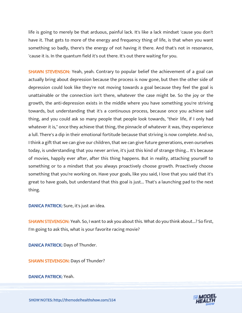life is going to merely be that arduous, painful lack. It's like a lack mindset 'cause you don't have it. That gets to more of the energy and frequency thing of life, is that when you want something so badly, there's the energy of not having it there. And that's not in resonance, 'cause it is. In the quantum field it's out there. It's out there waiting for you.

SHAWN STEVENSON: Yeah, yeah. Contrary to popular belief the achievement of a goal can actually bring about depression because the process is now gone, but then the other side of depression could look like they're not moving towards a goal because they feel the goal is unattainable or the connection isn't there, whatever the case might be. So the joy or the growth, the anti-depression exists in the middle where you have something you're striving towards, but understanding that it's a continuous process, because once you achieve said thing, and you could ask so many people that people look towards, "their life, if I only had whatever it is," once they achieve that thing, the pinnacle of whatever it was, they experience a lull. There's a dip in their emotional fortitude because that striving is now complete. And so, I think a gift that we can give our children, that we can give future generations, even ourselves today, is understanding that you never arrive, it's just this kind of strange thing... It's because of movies, happily ever after, after this thing happens. But in reality, attaching yourself to something or to a mindset that you always proactively choose growth. Proactively choose something that you're working on. Have your goals, like you said, I love that you said that it's great to have goals, but understand that this goal is just... That's a launching pad to the next thing.

DANICA PATRICK: Sure, it's just an idea.

**SHAWN STEVENSON:** Yeah. So, I want to ask you about this. What do you think about...? So first, I'm going to ask this, what is your favorite racing movie?

DANICA PATRICK: Days of Thunder.

SHAWN STEVENSON: Days of Thunder?

DANICA PATRICK: Yeah.

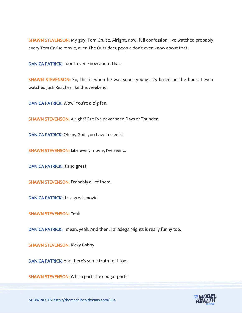SHAWN STEVENSON: My guy, Tom Cruise. Alright, now, full confession, I've watched probably every Tom Cruise movie, even The Outsiders, people don't even know about that.

DANICA PATRICK: I don't even know about that.

SHAWN STEVENSON: So, this is when he was super young, it's based on the book. I even watched Jack Reacher like this weekend.

DANICA PATRICK: Wow! You're a big fan.

SHAWN STEVENSON: Alright? But I've never seen Days of Thunder.

DANICA PATRICK: Oh my God, you have to see it!

SHAWN STEVENSON: Like every movie, I've seen...

DANICA PATRICK: It's so great.

SHAWN STEVENSON: Probably all of them.

DANICA PATRICK: It's a great movie!

SHAWN STEVENSON: Yeah.

DANICA PATRICK: I mean, yeah. And then, Talladega Nights is really funny too.

SHAWN STEVENSON: Ricky Bobby.

DANICA PATRICK: And there's some truth to it too.

SHAWN STEVENSON: Which part, the cougar part?

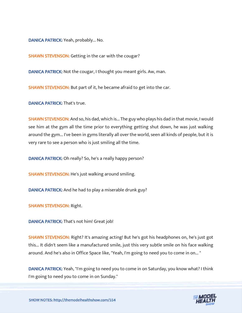DANICA PATRICK: Yeah, probably... No.

SHAWN STEVENSON: Getting in the car with the cougar?

DANICA PATRICK: Not the cougar, I thought you meant girls. Aw, man.

SHAWN STEVENSON: But part of it, he became afraid to get into the car.

DANICA PATRICK: That's true.

**SHAWN STEVENSON:** And so, his dad, which is... The guy who plays his dad in that movie, I would see him at the gym all the time prior to everything getting shut down, he was just walking around the gym... I've been in gyms literally all over the world, seen all kinds of people, but it is very rare to see a person who is just smiling all the time.

DANICA PATRICK: Oh really? So, he's a really happy person?

SHAWN STEVENSON: He's just walking around smiling.

DANICA PATRICK: And he had to play a miserable drunk guy?

SHAWN STEVENSON: Right.

DANICA PATRICK: That's not him! Great job!

SHAWN STEVENSON: Right? It's amazing acting! But he's got his headphones on, he's just got this... It didn't seem like a manufactured smile, just this very subtle smile on his face walking around. And he's also in Office Space like, "Yeah, I'm going to need you to come in on... "

DANICA PATRICK: Yeah, "I'm going to need you to come in on Saturday, you know what? I think I'm going to need you to come in on Sunday."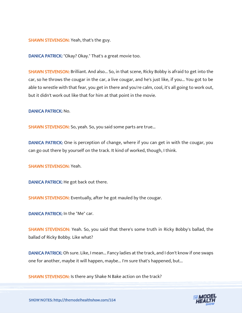SHAWN STEVENSON: Yeah, that's the guy.

DANICA PATRICK: "Okay? Okay." That's a great movie too.

SHAWN STEVENSON: Brilliant. And also... So, in that scene, Ricky Bobby is afraid to get into the car, so he throws the cougar in the car, a live cougar, and he's just like, if you... You got to be able to wrestle with that fear, you get in there and you're calm, cool, it's all going to work out, but it didn't work out like that for him at that point in the movie.

DANICA PATRICK: No.

SHAWN STEVENSON: So, yeah. So, you said some parts are true...

DANICA PATRICK: One is perception of change, where if you can get in with the cougar, you can go out there by yourself on the track. It kind of worked, though, I think.

SHAWN STEVENSON: Yeah.

DANICA PATRICK: He got back out there.

SHAWN STEVENSON: Eventually, after he got mauled by the cougar.

DANICA PATRICK: In the "Me" car.

SHAWN STEVENSON: Yeah. So, you said that there's some truth in Ricky Bobby's ballad, the ballad of Ricky Bobby. Like what?

DANICA PATRICK: Oh sure. Like, I mean... Fancy ladies at the track, and I don't know if one swaps one for another, maybe it will happen, maybe... I'm sure that's happened, but...

SHAWN STEVENSON: Is there any Shake N Bake action on the track?

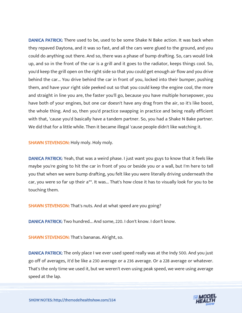DANICA PATRICK: There used to be, used to be some Shake N Bake action. It was back when they repaved Daytona, and it was so fast, and all the cars were glued to the ground, and you could do anything out there. And so, there was a phase of bump drafting. So, cars would link up, and so in the front of the car is a grill and it goes to the radiator, keeps things cool. So, you'd keep the grill open on the right side so that you could get enough air flow and you drive behind the car... You drive behind the car in front of you, locked into their bumper, pushing them, and have your right side peeked out so that you could keep the engine cool, the more and straight in line you are, the faster you'll go, because you have multiple horsepower, you have both of your engines, but one car doesn't have any drag from the air, so it's like boost, the whole thing. And so, then you'd practice swapping in practice and being really efficient with that, 'cause you'd basically have a tandem partner. So, you had a Shake N Bake partner. We did that for a little while. Then it became illegal 'cause people didn't like watching it.

SHAWN STEVENSON: Holy moly. Holy moly.

DANICA PATRICK: Yeah, that was a weird phase. I just want you guys to know that it feels like maybe you're going to hit the car in front of you or beside you or a wall, but I'm here to tell you that when we were bump drafting, you felt like you were literally driving underneath the car, you were so far up their a\*\*. It was... That's how close it has to visually look for you to be touching them.

SHAWN STEVENSON: That's nuts. And at what speed are you going?

DANICA PATRICK: Two hundred... And some, 220. I don't know. I don't know.

SHAWN STEVENSON: That's bananas. Alright, so.

DANICA PATRICK: The only place I we ever used speed really was at the Indy 500. And you just go off of averages, it'd be like a 230 average or a 236 average. Or a 228 average or whatever. That's the only time we used it, but we weren't even using peak speed, we were using average speed at the lap.

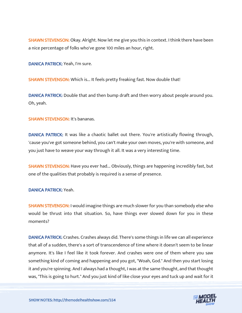**SHAWN STEVENSON:** Okay. Alright. Now let me give you this in context. I think there have been a nice percentage of folks who've gone 100 miles an hour, right.

DANICA PATRICK: Yeah, I'm sure.

**SHAWN STEVENSON:** Which is... It feels pretty freaking fast. Now double that!

DANICA PATRICK: Double that and then bump draft and then worry about people around you. Oh, yeah.

SHAWN STEVENSON: It's bananas.

DANICA PATRICK: It was like a chaotic ballet out there. You're artistically flowing through, 'cause you've got someone behind, you can't make your own moves, you're with someone, and you just have to weave your way through it all. It was a very interesting time.

**SHAWN STEVENSON:** Have you ever had... Obviously, things are happening incredibly fast, but one of the qualities that probably is required is a sense of presence.

DANICA PATRICK: Yeah.

**SHAWN STEVENSON: I** would imagine things are much slower for you than somebody else who would be thrust into that situation. So, have things ever slowed down for you in these moments?

DANICA PATRICK: Crashes. Crashes always did. There's some things in life we can all experience that all of a sudden, there's a sort of transcendence of time where it doesn't seem to be linear anymore. It's like I feel like it took forever. And crashes were one of them where you saw something kind of coming and happening and you got, "Woah, God." And then you start losing it and you're spinning. And I always had a thought, I was at the same thought, and that thought was, "This is going to hurt." And you just kind of like close your eyes and tuck up and wait for it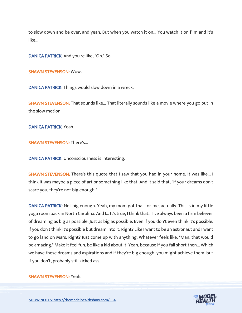to slow down and be over, and yeah. But when you watch it on... You watch it on film and it's like...

DANICA PATRICK: And you're like, "Oh." So...

SHAWN STEVENSON: Wow.

DANICA PATRICK: Things would slow down in a wreck.

SHAWN STEVENSON: That sounds like... That literally sounds like a movie where you go put in the slow motion.

DANICA PATRICK: Yeah.

SHAWN STEVENSON: There's...

DANICA PATRICK: Unconsciousness is interesting.

SHAWN STEVENSON: There's this quote that I saw that you had in your home. It was like... I think it was maybe a piece of art or something like that. And it said that, "If your dreams don't scare you, they're not big enough."

DANICA PATRICK: Not big enough. Yeah, my mom got that for me, actually. This is in my little yoga room back in North Carolina. And I... It's true, I think that... I've always been a firm believer of dreaming as big as possible. Just as big as possible. Even if you don't even think it's possible. If you don't think it's possible but dream into it. Right? Like I want to be an astronaut and I want to go land on Mars. Right? Just come up with anything. Whatever feels like, "Man, that would be amazing." Make it feel fun, be like a kid about it. Yeah, because if you fall short then... Which we have these dreams and aspirations and if they're big enough, you might achieve them, but if you don't, probably still kicked ass.

SHAWN STEVENSON: Yeah.

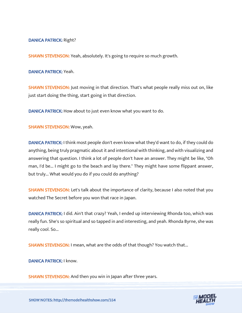#### DANICA PATRICK: Right?

SHAWN STEVENSON: Yeah, absolutely. It's going to require so much growth.

DANICA PATRICK: Yeah.

**SHAWN STEVENSON:** Just moving in that direction. That's what people really miss out on, like just start doing the thing, start going in that direction.

DANICA PATRICK: How about to just even know what you want to do.

SHAWN STEVENSON: Wow, yeah.

DANICA PATRICK: I think most people don't even know what they'd want to do, if they could do anything, being truly pragmatic about it and intentional with thinking, and with visualizing and answering that question. I think a lot of people don't have an answer. They might be like, "Oh man, I'd be... I might go to the beach and lay there." They might have some flippant answer, but truly... What would you do if you could do anything?

SHAWN STEVENSON: Let's talk about the importance of clarity, because I also noted that you watched The Secret before you won that race in Japan.

DANICA PATRICK: I did. Ain't that crazy? Yeah, I ended up interviewing Rhonda too, which was really fun. She's so spiritual and so tapped in and interesting, and yeah. Rhonda Byrne, she was really cool. So...

SHAWN STEVENSON: I mean, what are the odds of that though? You watch that...

DANICA PATRICK: I know.

SHAWN STEVENSON: And then you win in Japan after three years.

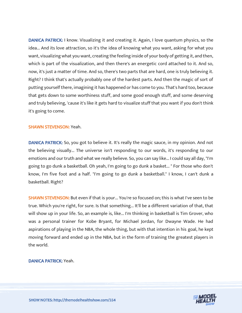DANICA PATRICK: I know. Visualizing it and creating it. Again, I love quantum physics, so the idea... And its love attraction, so it's the idea of knowing what you want, asking for what you want, visualizing what you want, creating the feeling inside of your body of getting it, and then, which is part of the visualization, and then there's an energetic cord attached to it. And so, now, it's just a matter of time. And so, there's two parts that are hard, one is truly believing it. Right? I think that's actually probably one of the hardest parts. And then the magic of sort of putting yourself there, imagining it has happened or has come to you. That's hard too, because that gets down to some worthiness stuff, and some good enough stuff, and some deserving and truly believing, 'cause it's like it gets hard to visualize stuff that you want if you don't think it's going to come.

#### SHAWN STEVENSON: Yeah.

DANICA PATRICK: So, you got to believe it. It's really the magic sauce, in my opinion. And not the believing visually... The universe isn't responding to our words, it's responding to our emotions and our truth and what we really believe. So, you can say like... I could say all day, "I'm going to go dunk a basketball. Oh yeah, I'm going to go dunk a basket... " For those who don't know, I'm five foot and a half. "I'm going to go dunk a basketball." I know, I can't dunk a basketball. Right?

SHAWN STEVENSON: But even if that is your... You're so focused on; this is what I've seen to be true. Which you're right, for sure. Is that something... It'll be a different variation of that, that will show up in your life. So, an example is, like... I'm thinking in basketball is Tim Grover, who was a personal trainer for Kobe Bryant, for Michael Jordan, for Dwayne Wade. He had aspirations of playing in the NBA, the whole thing, but with that intention in his goal, he kept moving forward and ended up in the NBA, but in the form of training the greatest players in the world.

DANICA PATRICK: Yeah.

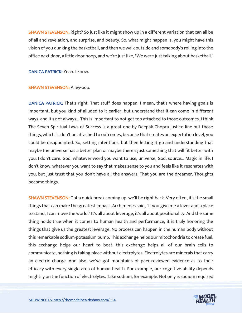**SHAWN STEVENSON:** Right? So just like it might show up in a different variation that can all be of all and revelation, and surprise, and beauty. So, what might happen is, you might have this vision of you dunking the basketball, and then we walk outside and somebody's rolling into the office next door, a little door hoop, and we're just like, "We were just talking about basketball."

DANICA PATRICK: Yeah. I know.

#### SHAWN STEVENSON: Alley-oop.

DANICA PATRICK: That's right. That stuff does happen. I mean, that's where having goals is important, but you kind of alluded to it earlier, but understand that it can come in different ways, and it's not always... This is important to not get too attached to those outcomes. I think The Seven Spiritual Laws of Success is a great one by Deepak Chopra just to line out those things, which is, don't be attached to outcomes, because that creates an expectation level, you could be disappointed. So, setting intentions, but then letting it go and understanding that maybe the universe has a better plan or maybe there's just something that will fit better with you. I don't care. God, whatever word you want to use, universe, God, source... Magic in life, I don't know, whatever you want to say that makes sense to you and feels like it resonates with you, but just trust that you don't have all the answers. That you are the dreamer. Thoughts become things.

SHAWN STEVENSON: Got a quick break coming up, we'll be right back. Very often, it's the small things that can make the greatest impact. Archimedes said, "If you give me a lever and a place to stand, I can move the world." It's all about leverage, it's all about positionality. And the same thing holds true when it comes to human health and performance, it is truly honoring the things that give us the greatest leverage. No process can happen in the human body without this remarkable sodium-potassium pump. This exchange helps our mitochondria to create fuel, this exchange helps our heart to beat, this exchange helps all of our brain cells to communicate, nothing is taking place without electrolytes. Electrolytes are minerals that carry an electric charge. And also, we've got mountains of peer-reviewed evidence as to their efficacy with every single area of human health. For example, our cognitive ability depends mightily on the function of electrolytes. Take sodium, for example. Not only is sodium required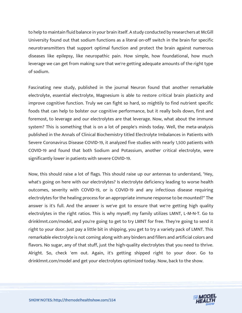to help to maintain fluid balance in your brain itself. A study conducted by researchers at McGill University found out that sodium functions as a literal on-off switch in the brain for specific neurotransmitters that support optimal function and protect the brain against numerous diseases like epilepsy, like neuropathic pain. How simple, how foundational, how much leverage we can get from making sure that we're getting adequate amounts of the right type of sodium.

Fascinating new study, published in the journal Neuron found that another remarkable electrolyte, essential electrolyte, Magnesium is able to restore critical brain plasticity and improve cognitive function. Truly we can fight so hard, so mightily to find nutrient specific foods that can help to bolster our cognitive performance, but it really boils down, first and foremost, to leverage and our electrolytes are that leverage. Now, what about the immune system? This is something that is on a lot of people's minds today. Well, the meta-analysis published in the Annals of Clinical Biochemistry titled Electrolyte Imbalances in Patients with Severe Coronavirus Disease COVID-19, it analyzed five studies with nearly 1,500 patients with COVID-19 and found that both Sodium and Potassium, another critical electrolyte, were significantly lower in patients with severe COVID-19.

Now, this should raise a lot of flags. This should raise up our antennas to understand, "Hey, what's going on here with our electrolytes? Is electrolyte deficiency leading to worse health outcomes, severity with COVID-19, or is COVID-19 and any infectious disease requiring electrolytes for the healing process for an appropriate immune response to be mounted?" The answer is it's full. And the answer is we've got to ensure that we're getting high quality electrolytes in the right ratios. This is why myself; my family utilizes LMNT, L-M-N-T. Go to drinklmnt.com/model, and you're going to get to try LMNT for free. They're going to send it right to your door. Just pay a little bit in shipping, you get to try a variety pack of LMNT. This remarkable electrolyte is not coming along with any binders and fillers and artificial colors and flavors. No sugar, any of that stuff, just the high-quality electrolytes that you need to thrive. Alright. So, check 'em out. Again, it's getting shipped right to your door. Go to drinklmnt.com/model and get your electrolytes optimized today. Now, back to the show.

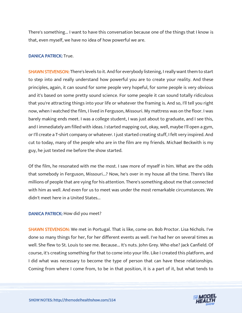There's something... I want to have this conversation because one of the things that I know is that, even myself, we have no idea of how powerful we are.

#### DANICA PATRICK: True.

SHAWN STEVENSON: There's levels to it. And for everybody listening, I really want them to start to step into and really understand how powerful you are to create your reality. And these principles, again, it can sound for some people very hopeful, for some people is very obvious and it's based on some pretty sound science. For some people it can sound totally ridiculous that you're attracting things into your life or whatever the framing is. And so, I'll tell you right now, when I watched the film, I lived in Ferguson, Missouri. My mattress was on the floor. I was barely making ends meet. I was a college student, I was just about to graduate, and I see this, and I immediately am filled with ideas. I started mapping out, okay, well, maybe I'll open a gym, or I'll create a T-shirt company or whatever. I just started creating stuff, I felt very inspired. And cut to today, many of the people who are in the film are my friends. Michael Beckwith is my guy, he just texted me before the show started.

Of the film, he resonated with me the most. I saw more of myself in him. What are the odds that somebody in Ferguson, Missouri...? Now, he's over in my house all the time. There's like millions of people that are vying for his attention. There's something about me that connected with him as well. And even for us to meet was under the most remarkable circumstances. We didn't meet here in a United States...

#### DANICA PATRICK: How did you meet?

SHAWN STEVENSON: We met in Portugal. That is like, come on. Bob Proctor. Lisa Nichols. I've done so many things for her, for her different events as well. I've had her on several times as well. She flew to St. Louis to see me. Because... It's nuts. John Grey. Who else? Jack Canfield. Of course, it's creating something for that to come into your life. Like I created this platform, and I did what was necessary to become the type of person that can have these relationships. Coming from where I come from, to be in that position, it is a part of it, but what tends to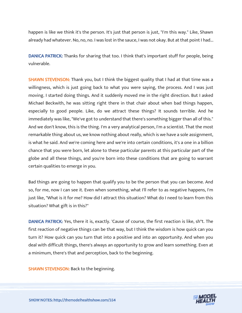happen is like we think it's the person. It's just that person is just, "I'm this way." Like, Shawn already had whatever. No, no, no. I was lost in the sauce, I was not okay. But at that point I had...

DANICA PATRICK: Thanks for sharing that too. I think that's important stuff for people, being vulnerable.

SHAWN STEVENSON: Thank you, but I think the biggest quality that I had at that time was a willingness, which is just going back to what you were saying, the process. And I was just moving. I started doing things. And it suddenly moved me in the right direction. But I asked Michael Beckwith, he was sitting right there in that chair about when bad things happen, especially to good people. Like, do we attract these things? It sounds terrible. And he immediately was like, "We've got to understand that there's something bigger than all of this." And we don't know, this is the thing. I'm a very analytical person, I'm a scientist. That the most remarkable thing about us, we know nothing about really, which is we have a sole assignment, is what he said. And we're coming here and we're into certain conditions, it's a one in a billion chance that you were born, let alone to these particular parents at this particular part of the globe and all these things, and you're born into these conditions that are going to warrant certain qualities to emerge in you.

Bad things are going to happen that qualify you to be the person that you can become. And so, for me, now I can see it. Even when something, what I'll refer to as negative happens, I'm just like, "What is it for me? How did I attract this situation? What do I need to learn from this situation? What gift is in this?"

DANICA PATRICK: Yes, there it is, exactly. 'Cause of course, the first reaction is like, sh\*t. The first reaction of negative things can be that way, but I think the wisdom is how quick can you turn it? How quick can you turn that into a positive and into an opportunity. And when you deal with difficult things, there's always an opportunity to grow and learn something. Even at a minimum, there's that and perception, back to the beginning.

**SHAWN STEVENSON: Back to the beginning.** 

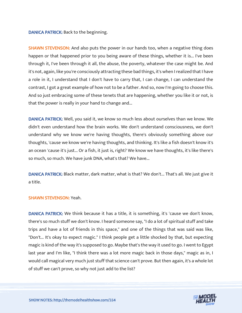#### DANICA PATRICK: Back to the beginning.

SHAWN STEVENSON: And also puts the power in our hands too, when a negative thing does happen or that happened prior to you being aware of these things, whether it is... I've been through it, I've been through it all, the abuse, the poverty, whatever the case might be. And it's not, again, like you're consciously attracting these bad things, it's when I realized that I have a role in it, I understand that I don't have to carry that, I can change, I can understand the contrast, I got a great example of how not to be a father. And so, now I'm going to choose this. And so just embracing some of these tenets that are happening, whether you like it or not, is that the power is really in your hand to change and...

DANICA PATRICK: Well, you said it, we know so much less about ourselves than we know. We didn't even understand how the brain works. We don't understand consciousness, we don't understand why we know we're having thoughts, there's obviously something above our thoughts, 'cause we know we're having thoughts, and thinking. It's like a fish doesn't know it's an ocean 'cause it's just... Or a fish, it just is, right? We know we have thoughts, it's like there's so much, so much. We have junk DNA, what's that? We have...

DANICA PATRICK: Black matter, dark matter, what is that? We don't... That's all. We just give it a title.

#### SHAWN STEVENSON: Yeah.

DANICA PATRICK: We think because it has a title, it is something, it's 'cause we don't know, there's so much stuff we don't know. I heard someone say, "I do a lot of spiritual stuff and take trips and have a lot of friends in this space," and one of the things that was said was like, "Don't... It's okay to expect magic." I think people get a little shocked by that, but expecting magic is kind of the way it's supposed to go. Maybe that's the way it used to go. I went to Egypt last year and I'm like, "I think there was a lot more magic back in those days," magic as in, I would call magical very much just stuff that science can't prove. But then again, it's a whole lot of stuff we can't prove, so why not just add to the list?

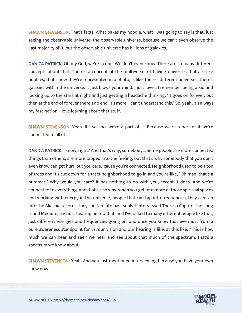**SHAWN STEVENSON:** That's facts. What bakes my noodle, what I was going to say is that, just seeing the observable universe, the observable universe, because we can't even observe the vast majority of it, but the observable universe has billions of galaxies.

DANICA PATRICK: Oh my God, we're in one. We don't even know. There are so many different concepts about that. There's a concept of the multiverse, of having universes that are like bubbles, that's how they're represented in a photo, is like, there's different universes, there's galaxies within the universe. It just blows your mind. I just love... I remember being a kid and looking up to the stars at night and just getting a headache thinking, "It goes on forever, but then at the end of forever there's no end, it's more. I can't understand this." So, yeah, it's always my fascination, I love learning about that stuff.

SHAWN STEVENSON: Yeah. It's so cool we're a part of it. Because we're a part of it we're connected to all of it.

DANICA PATRICK: I know, right? And that's why, somebody... Some people are more connected things than others, are more tapped into the feeling, but that's why somebody that you don't even know can get hurt, but you care, 'cause you're connected. Neighborhood used to be a ton of trees and it's cut down for a tract neighborhood to go in and you're like, "Oh man, that's a bummer." Why would you care? It has nothing to do with you, except it does. And we're connected to everything. And that's also why, when you get into more of those spiritual spaces and working with energy in the universe, people that can tap into frequencies, they can tap into the Akashic records, they can tap into past souls. I interviewed Theresa Caputo, the Long Island Medium, and just hearing her do that, and I've talked to many different people like that, just different energies and frequencies going on, and once you know that even just from a pure awareness standpoint for us, our vision and our hearing is like, at this like, "This is how much we can hear and see," we hear and see about that much of the spectrum, that's a spectrum we know about.

**SHAWN STEVENSON:** Yeah. And you just mentioned interviewing because you have your own show now...

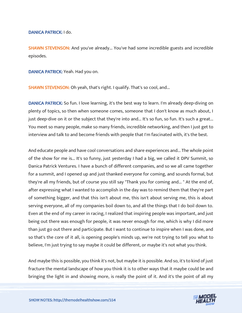DANICA PATRICK: I do.

**SHAWN STEVENSON:** And you've already... You've had some incredible guests and incredible episodes.

DANICA PATRICK: Yeah. Had you on.

SHAWN STEVENSON: Oh yeah, that's right. I qualify. That's so cool, and...

DANICA PATRICK: So fun. I love learning, it's the best way to learn. I'm already deep-diving on plenty of topics, so then when someone comes, someone that I don't know as much about, I just deep-dive on it or the subject that they're into and... It's so fun, so fun. It's such a great... You meet so many people, make so many friends, incredible networking, and then I just get to interview and talk to and become friends with people that I'm fascinated with, it's the best.

And educate people and have cool conversations and share experiences and... The whole point of the show for me is... It's so funny, just yesterday I had a big, we called it DPV Summit, so Danica Patrick Ventures. I have a bunch of different companies, and so we all came together for a summit, and I opened up and just thanked everyone for coming, and sounds formal, but they're all my friends, but of course you still say "Thank you for coming and... " At the end of, after expressing what I wanted to accomplish in the day was to remind them that they're part of something bigger, and that this isn't about me, this isn't about serving me, this is about serving everyone, all of my companies boil down to, and all the things that I do boil down to. Even at the end of my career in racing, I realized that inspiring people was important, and just being out there was enough for people, it was never enough for me, which is why I did more than just go out there and participate. But I want to continue to inspire when I was done, and so that's the core of it all, is opening people's minds up, we're not trying to tell you what to believe, I'm just trying to say maybe it could be different, or maybe it's not what you think.

And maybe this is possible, you think it's not, but maybe it is possible. And so, it's to kind of just fracture the mental landscape of how you think it is to other ways that it maybe could be and bringing the light in and showing more, is really the point of it. And it's the point of all my

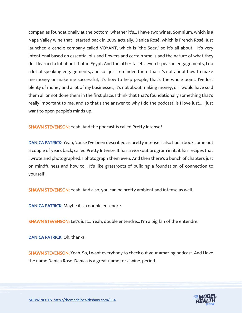companies foundationally at the bottom, whether it's... I have two wines, Somnium, which is a Napa Valley wine that I started back in 2009 actually, Danica Rosé, which is French Rosé. Just launched a candle company called VOYANT, which is "the Seer," so it's all about... It's very intentional based on essential oils and flowers and certain smells and the nature of what they do. I learned a lot about that in Egypt. And the other facets, even I speak in engagements, I do a lot of speaking engagements, and so I just reminded them that it's not about how to make me money or make me successful, it's how to help people, that's the whole point. I've lost plenty of money and a lot of my businesses, it's not about making money, or I would have sold them all or not done them in the first place. I think that that's foundationally something that's really important to me, and so that's the answer to why I do the podcast, is I love just... I just want to open people's minds up.

SHAWN STEVENSON: Yeah. And the podcast is called Pretty Intense?

DANICA PATRICK: Yeah, 'cause I've been described as pretty intense. I also had a book come out a couple of years back, called Pretty Intense. It has a workout program in it, it has recipes that I wrote and photographed. I photograph them even. And then there's a bunch of chapters just on mindfulness and how to... It's like grassroots of building a foundation of connection to yourself.

SHAWN STEVENSON: Yeah. And also, you can be pretty ambient and intense as well.

DANICA PATRICK: Maybe it's a double entendre.

SHAWN STEVENSON: Let's just... Yeah, double entendre... I'm a big fan of the entendre.

DANICA PATRICK: Oh, thanks.

SHAWN STEVENSON: Yeah. So, I want everybody to check out your amazing podcast. And I love the name Danica Rosé. Danica is a great name for a wine, period.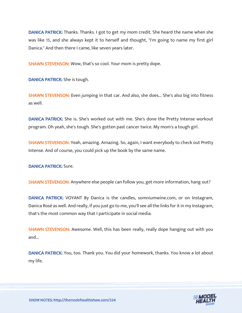DANICA PATRICK: Thanks. Thanks. I got to get my mom credit. She heard the name when she was like 15, and she always kept it to herself and thought, "I'm going to name my first girl Danica." And then there I came, like seven years later.

SHAWN STEVENSON: Wow, that's so cool. Your mom is pretty dope.

DANICA PATRICK: She is tough.

**SHAWN STEVENSON:** Even jumping in that car. And also, she does... She's also big into fitness as well.

DANICA PATRICK: She is. She's worked out with me. She's done the Pretty Intense workout program. Oh yeah, she's tough. She's gotten past cancer twice. My mom's a tough girl.

SHAWN STEVENSON: Yeah, amazing. Amazing. So, again, I want everybody to check out Pretty Intense. And of course, you could pick up the book by the same name.

DANICA PATRICK: Sure.

SHAWN STEVENSON: Anywhere else people can follow you, get more information, hang out?

DANICA PATRICK: VOYANT By Danica is the candles, somniumwine.com, or on Instagram, Danica Rosé as well. And really, if you just go to me, you'll see all the links for it in my Instagram, that's the most common way that I participate in social media.

SHAWN STEVENSON: Awesome. Well, this has been really, really dope hanging out with you and...

DANICA PATRICK: You, too. Thank you. You did your homework, thanks. You know a lot about my life.

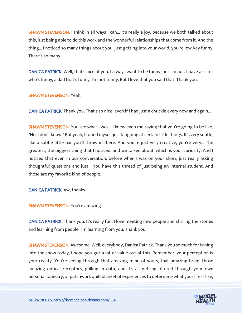SHAWN STEVENSON: I think in all ways I can... It's really a joy, because we both talked about this, just being able to do this work and the wonderful relationships that come from it. And the thing... I noticed so many things about you, just getting into your world, you're low-key funny. There's so many...

DANICA PATRICK: Well, that's nice of you. I always want to be funny, but I'm not. I have a sister who's funny, a dad that's funny. I'm not funny. But I love that you said that. Thank you.

SHAWN STEVENSON: Yeah.

DANICA PATRICK: Thank you. That's so nice, even if I had just a chuckle every now and again...

SHAWN STEVENSON: You see what I was... I knew even me saying that you're going to be like, "No, I don't know." But yeah, I found myself just laughing at certain little things. It's very subtle, like a subtle little bar you'll throw in there. And you're just very creative, you're very... The greatest, the biggest thing that I noticed, and we talked about, which is your curiosity. And I noticed that even in our conversation, before when I was on your show, just really asking thoughtful questions and just... You have this thread of just being an internal student. And those are my favorite kind of people.

DANICA PATRICK: Aw, thanks.

SHAWN STEVENSON: You're amazing.

DANICA PATRICK: Thank you. It's really fun. I love meeting new people and sharing the stories and learning from people. I'm learning from you. Thank you.

SHAWN STEVENSON: Awesome. Well, everybody, Danica Patrick. Thank you so much for tuning into the show today, I hope you got a lot of value out of this. Remember, your perception is your reality. You're seeing through that amazing mind of yours, that amazing brain, those amazing optical receptors, pulling in data, and it's all getting filtered through your own personal tapestry, or patchwork quilt blanket of experiences to determine what your life is like,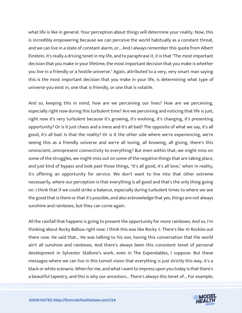what life is like in general. Your perception about things will determine your reality. Now, this is incredibly empowering because we can perceive the world habitually as a constant threat, and we can live in a state of constant alarm, or... And I always remember this quote from Albert Einstein, it's really a driving tenet in my life, and to paraphrase it, it is that "The most important decision that you make in your lifetime, the most important decision that you make is whether you live in a friendly or a hostile universe." Again, attributed to a very, very smart man saying this is the most important decision that you make in your life, is determining what type of universe you exist in, one that is friendly, or one that is volatile.

And so, keeping this in mind, how are we perceiving our lives? How are we perceiving, especially right now during this turbulent time? Are we perceiving and noticing that life is just, right now it's very turbulent because it's growing, it's evolving, it's changing, it's presenting opportunity? Or is it just chaos and a mess and it's all bad? The opposite of what we say, it's all good, it's all bad. Is that the reality? Or is it the other side where we're experiencing, we're seeing this as a friendly universe and we're all loving, all knowing, all giving, there's this omniscient, omnipresent connectivity to everything? But even within that, we might miss on some of the struggles, we might miss out on some of the negative things that are taking place, and just kind of bypass and look past those things, "It's all good, it's all love," when in reality, it's offering an opportunity for service. We don't want to live into that other extreme necessarily, where our perception is that everything is all good and that's the only thing going on. I think that if we could strike a balance, especially during turbulent times to where we see the good that is there or that it's possible, and also acknowledge that yes, things are not always sunshine and rainbows, but they can come again.

All the rainfall that happens is going to present the opportunity for more rainbows. And so, I'm thinking about Rocky Balboa right now. I think this was like Rocky 5. There's like 10 Rockies out there now. He said that... He was talking to his son, having this conversation that the world ain't all sunshine and rainbows. And there's always been this consistent tenet of personal development in Sylvester Stallone's work, even in The Expendables, I suppose. But these messages where we can live in this tunnel vision that everything is just strictly this way, it's a black or white scenario. When for me, and what I want to impress upon you today is that there's a beautiful tapestry, and this is why our ancestors... There's always this tenet of... For example,